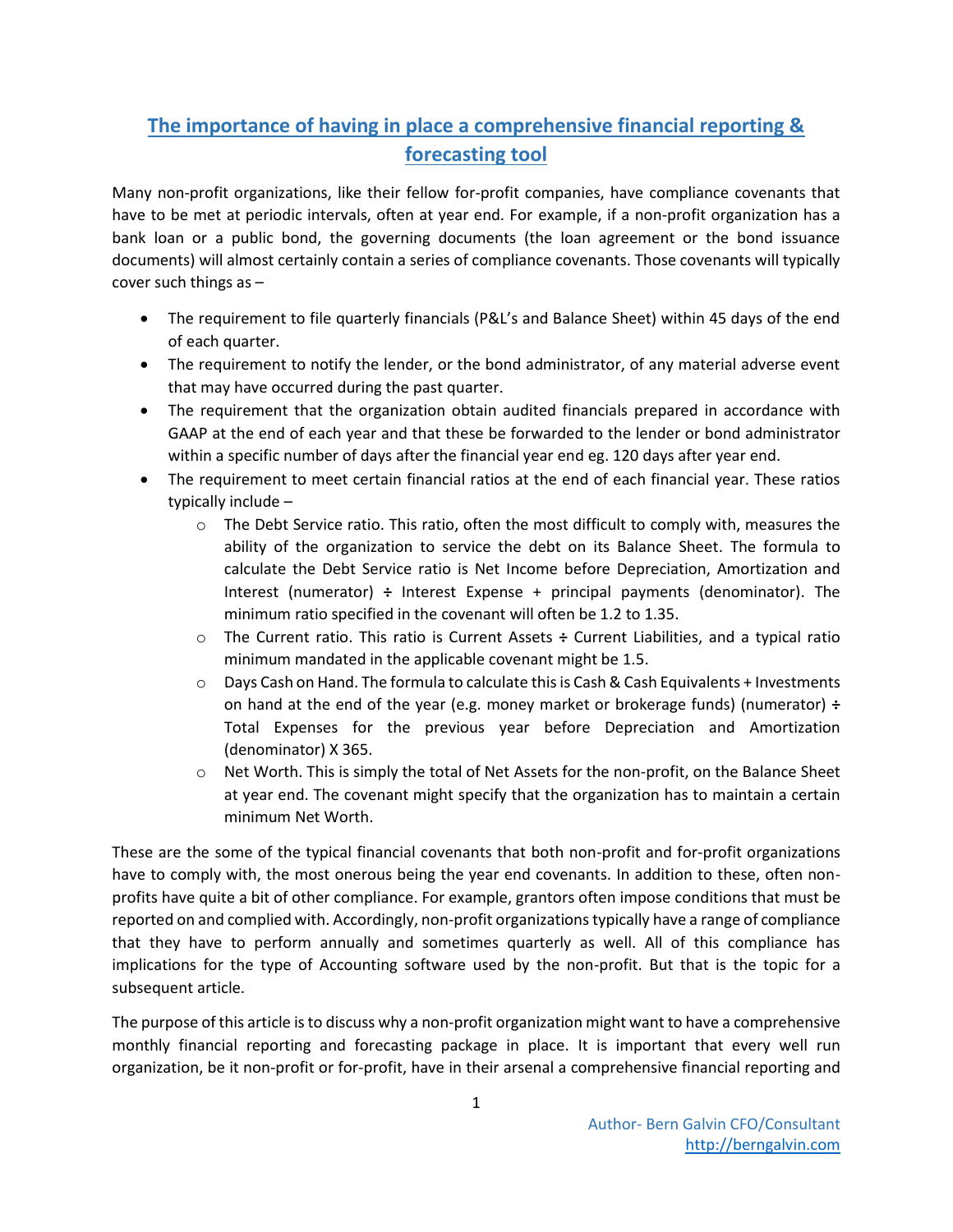## **The importance of having in place a comprehensive financial reporting & forecasting tool**

Many non-profit organizations, like their fellow for-profit companies, have compliance covenants that have to be met at periodic intervals, often at year end. For example, if a non-profit organization has a bank loan or a public bond, the governing documents (the loan agreement or the bond issuance documents) will almost certainly contain a series of compliance covenants. Those covenants will typically cover such things as –

- The requirement to file quarterly financials (P&L's and Balance Sheet) within 45 days of the end of each quarter.
- The requirement to notify the lender, or the bond administrator, of any material adverse event that may have occurred during the past quarter.
- The requirement that the organization obtain audited financials prepared in accordance with GAAP at the end of each year and that these be forwarded to the lender or bond administrator within a specific number of days after the financial year end eg. 120 days after year end.
- The requirement to meet certain financial ratios at the end of each financial year. These ratios typically include –
	- $\circ$  The Debt Service ratio. This ratio, often the most difficult to comply with, measures the ability of the organization to service the debt on its Balance Sheet. The formula to calculate the Debt Service ratio is Net Income before Depreciation, Amortization and Interest (numerator) **÷** Interest Expense + principal payments (denominator). The minimum ratio specified in the covenant will often be 1.2 to 1.35.
	- o The Current ratio. This ratio is Current Assets **÷** Current Liabilities, and a typical ratio minimum mandated in the applicable covenant might be 1.5.
	- $\circ$  Days Cash on Hand. The formula to calculate this is Cash & Cash Equivalents + Investments on hand at the end of the year (e.g. money market or brokerage funds) (numerator) **÷** Total Expenses for the previous year before Depreciation and Amortization (denominator) X 365.
	- $\circ$  Net Worth. This is simply the total of Net Assets for the non-profit, on the Balance Sheet at year end. The covenant might specify that the organization has to maintain a certain minimum Net Worth.

These are the some of the typical financial covenants that both non-profit and for-profit organizations have to comply with, the most onerous being the year end covenants. In addition to these, often nonprofits have quite a bit of other compliance. For example, grantors often impose conditions that must be reported on and complied with. Accordingly, non-profit organizations typically have a range of compliance that they have to perform annually and sometimes quarterly as well. All of this compliance has implications for the type of Accounting software used by the non-profit. But that is the topic for a subsequent article.

The purpose of this article is to discuss why a non-profit organization might want to have a comprehensive monthly financial reporting and forecasting package in place. It is important that every well run organization, be it non-profit or for-profit, have in their arsenal a comprehensive financial reporting and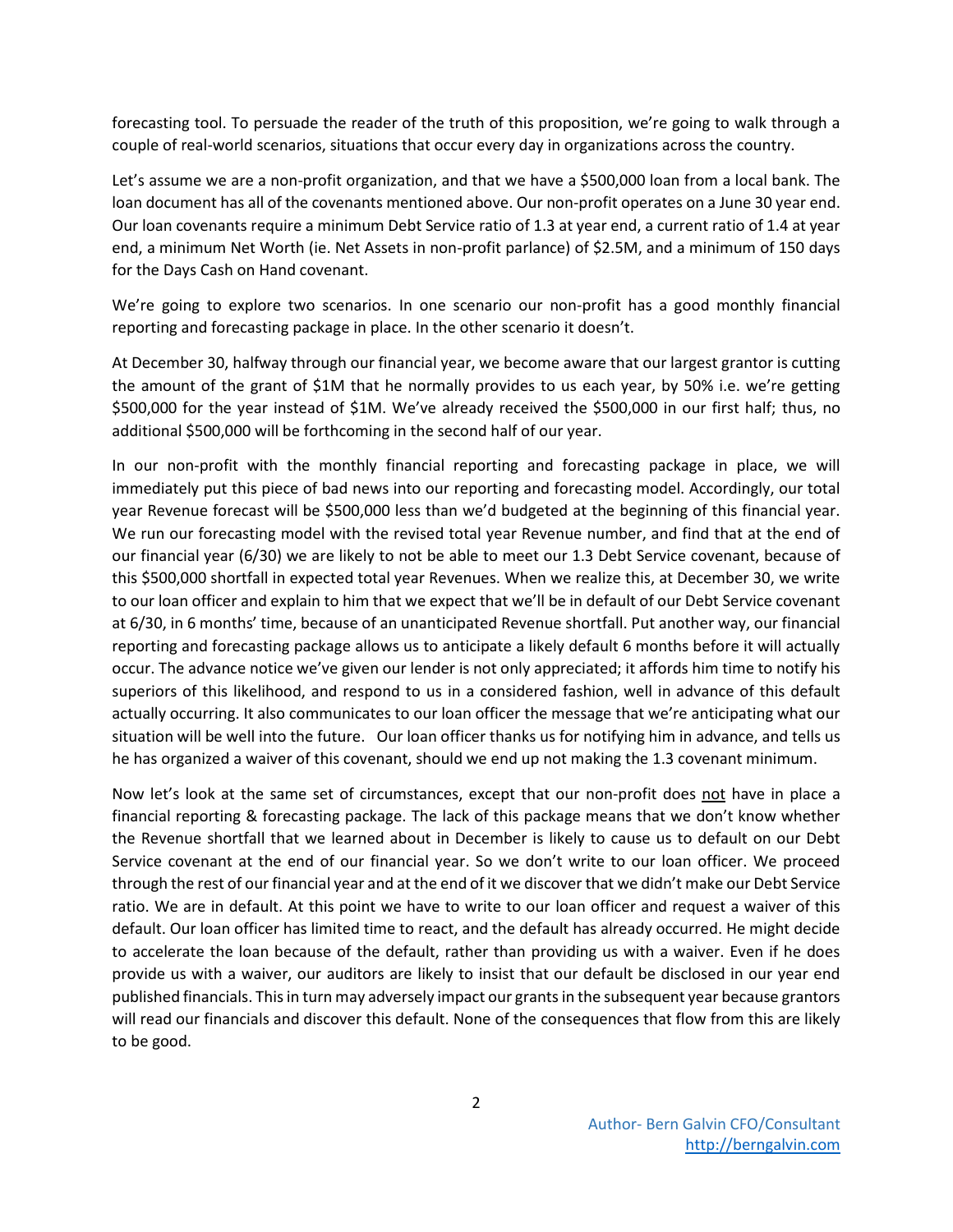forecasting tool. To persuade the reader of the truth of this proposition, we're going to walk through a couple of real-world scenarios, situations that occur every day in organizations across the country.

Let's assume we are a non-profit organization, and that we have a \$500,000 loan from a local bank. The loan document has all of the covenants mentioned above. Our non-profit operates on a June 30 year end. Our loan covenants require a minimum Debt Service ratio of 1.3 at year end, a current ratio of 1.4 at year end, a minimum Net Worth (ie. Net Assets in non-profit parlance) of \$2.5M, and a minimum of 150 days for the Days Cash on Hand covenant.

We're going to explore two scenarios. In one scenario our non-profit has a good monthly financial reporting and forecasting package in place. In the other scenario it doesn't.

At December 30, halfway through our financial year, we become aware that our largest grantor is cutting the amount of the grant of \$1M that he normally provides to us each year, by 50% i.e. we're getting \$500,000 for the year instead of \$1M. We've already received the \$500,000 in our first half; thus, no additional \$500,000 will be forthcoming in the second half of our year.

In our non-profit with the monthly financial reporting and forecasting package in place, we will immediately put this piece of bad news into our reporting and forecasting model. Accordingly, our total year Revenue forecast will be \$500,000 less than we'd budgeted at the beginning of this financial year. We run our forecasting model with the revised total year Revenue number, and find that at the end of our financial year (6/30) we are likely to not be able to meet our 1.3 Debt Service covenant, because of this \$500,000 shortfall in expected total year Revenues. When we realize this, at December 30, we write to our loan officer and explain to him that we expect that we'll be in default of our Debt Service covenant at 6/30, in 6 months' time, because of an unanticipated Revenue shortfall. Put another way, our financial reporting and forecasting package allows us to anticipate a likely default 6 months before it will actually occur. The advance notice we've given our lender is not only appreciated; it affords him time to notify his superiors of this likelihood, and respond to us in a considered fashion, well in advance of this default actually occurring. It also communicates to our loan officer the message that we're anticipating what our situation will be well into the future. Our loan officer thanks us for notifying him in advance, and tells us he has organized a waiver of this covenant, should we end up not making the 1.3 covenant minimum.

Now let's look at the same set of circumstances, except that our non-profit does not have in place a financial reporting & forecasting package. The lack of this package means that we don't know whether the Revenue shortfall that we learned about in December is likely to cause us to default on our Debt Service covenant at the end of our financial year. So we don't write to our loan officer. We proceed through the rest of our financial year and at the end of it we discover that we didn't make our Debt Service ratio. We are in default. At this point we have to write to our loan officer and request a waiver of this default. Our loan officer has limited time to react, and the default has already occurred. He might decide to accelerate the loan because of the default, rather than providing us with a waiver. Even if he does provide us with a waiver, our auditors are likely to insist that our default be disclosed in our year end published financials. This in turn may adversely impact our grants in the subsequent year because grantors will read our financials and discover this default. None of the consequences that flow from this are likely to be good.